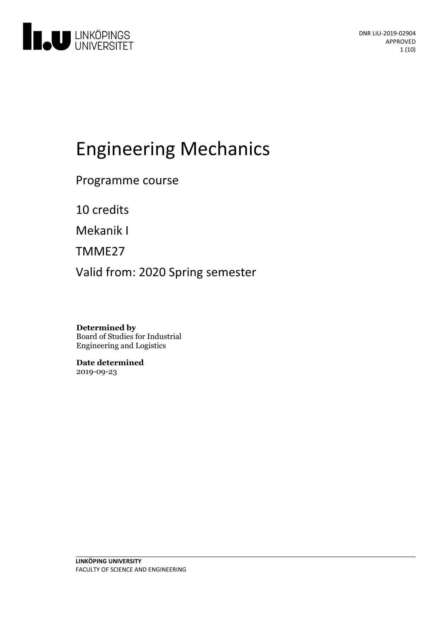

# Engineering Mechanics

Programme course

10 credits

Mekanik I

TMME27

Valid from: 2020 Spring semester

**Determined by** Board of Studies for Industrial Engineering and Logistics

**Date determined** 2019-09-23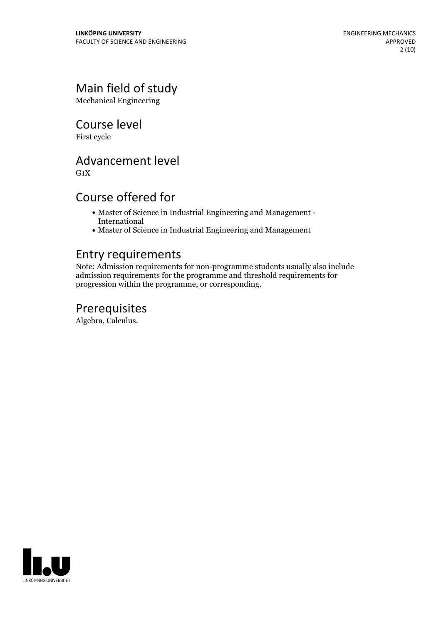# Main field of study

Mechanical Engineering

Course level

First cycle

### Advancement level

 $G_1X$ 

### Course offered for

- Master of Science in Industrial Engineering and Management International
- Master of Science in Industrial Engineering and Management

### Entry requirements

Note: Admission requirements for non-programme students usually also include admission requirements for the programme and threshold requirements for progression within the programme, or corresponding.

### Prerequisites

Algebra, Calculus.

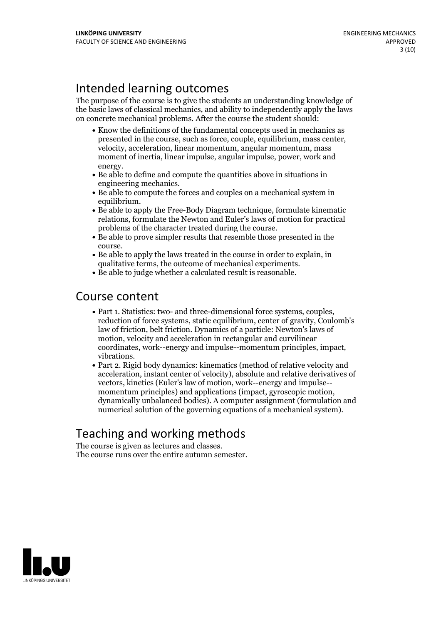# Intended learning outcomes

The purpose of the course is to give the students an understanding knowledge of the basic laws of classical mechanics, and ability to independently apply the laws on concrete mechanical problems. After the course the student should:

- Know the definitions of the fundamental concepts used in mechanics as presented in the course, such asforce, couple, equilibrium, mass center, velocity, acceleration, linear momentum, angular momentum, mass moment of inertia, linear impulse, angular impulse, power, work and
- energy. Be able to define and compute the quantities above in situations in engineering mechanics.<br>• Be able to compute the forces and couples on a mechanical system in
- equilibrium.<br>• Be able to apply the Free-Body Diagram technique, formulate kinematic
- relations, formulate the Newton and Euler's laws of motion for practical problems of the character treated during the course.<br>• Be able to prove simpler results that resemble those presented in the
- course.<br>• Be able to apply the laws treated in the course in order to explain, in
- qualitative terms, the outcome of mechanical experiments.<br>• Be able to judge whether a calculated result is reasonable.
- 

### Course content

- Part 1. Statistics: two- and three-dimensional force systems, couples, reduction of force systems, static equilibrium, center of gravity, Coulomb's law of friction, belt friction. Dynamics of a particle: Newton's laws of motion, velocity and acceleration in rectangular and curvilinear coordinates, work--energy and impulse--momentum principles, impact, vibrations.<br>• Part 2. Rigid body dynamics: kinematics (method of relative velocity and
- acceleration, instant center of velocity), absolute and relative derivatives of vectors, kinetics (Euler's law of motion, work--energy and impulse-- momentum principles) and applications (impact, gyroscopic motion, dynamically unbalanced bodies). <sup>A</sup> computer assignment (formulation and numerical solution of the governing equations of a mechanical system).

# Teaching and working methods<br>The course is given as lectures and classes.

The course runs over the entire autumn semester.

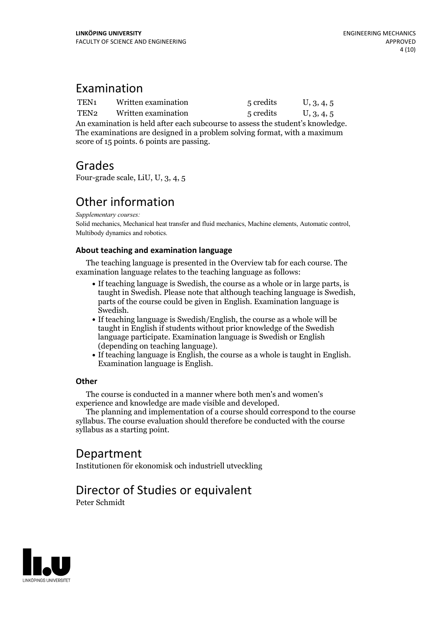### Examination

| TEN1 | Written examination | 5 credits | U, 3, 4, 5 |
|------|---------------------|-----------|------------|
| TEN2 | Written examination | 5 credits | U, 3, 4, 5 |

An examination is held after each subcourse to assess the student's knowledge. The examinations are designed in <sup>a</sup> problem solving format, with <sup>a</sup> maximum score of 15 points. 6 points are passing.

### Grades

Four-grade scale, LiU, U, 3, 4, 5

# Other information

*Supplementary courses:*

Solid mechanics, Mechanical heat transfer and fluid mechanics, Machine elements, Automatic control, Multibody dynamics and robotics.

#### **About teaching and examination language**

The teaching language is presented in the Overview tab for each course. The examination language relates to the teaching language as follows:

- If teaching language is Swedish, the course as a whole or in large parts, is taught in Swedish. Please note that although teaching language is Swedish, parts of the course could be given in English. Examination language is
- Swedish.<br>• If teaching language is Swedish/English, the course as a whole will be taught in English if students without prior knowledge of the Swedish language participate. Examination language is Swedish or English
- $\bullet$  If teaching language is English, the course as a whole is taught in English. Examination language is English.

#### **Other**

The course is conducted in a manner where both men's and women's

experience and knowledge are made visible and developed. The planning and implementation of <sup>a</sup> course should correspond to the course syllabus. The course evaluation should therefore be conducted with the course syllabus as a starting point.

### Department

Institutionen för ekonomisk och industriell utveckling

## Director of Studies or equivalent

Peter Schmidt

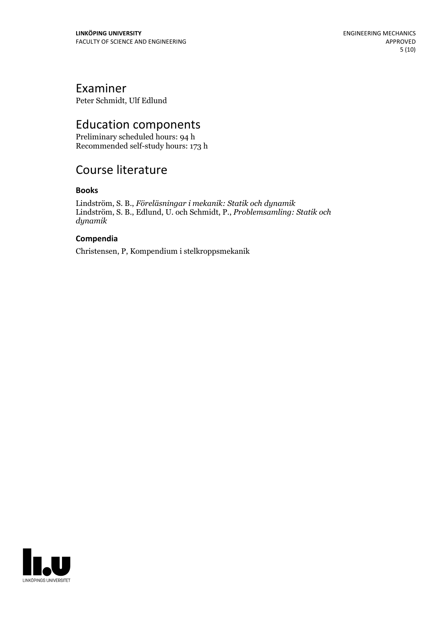### Examiner

Peter Schmidt, Ulf Edlund

# Education components

Preliminary scheduled hours: 94 h Recommended self-study hours: 173 h

### Course literature

#### **Books**

Lindström, S. B., *Föreläsningar i mekanik: Statik och dynamik* Lindström, S. B., Edlund, U. och Schmidt, P., *Problemsamling: Statik och dynamik*

#### **Compendia**

Christensen, P, Kompendium i stelkroppsmekanik

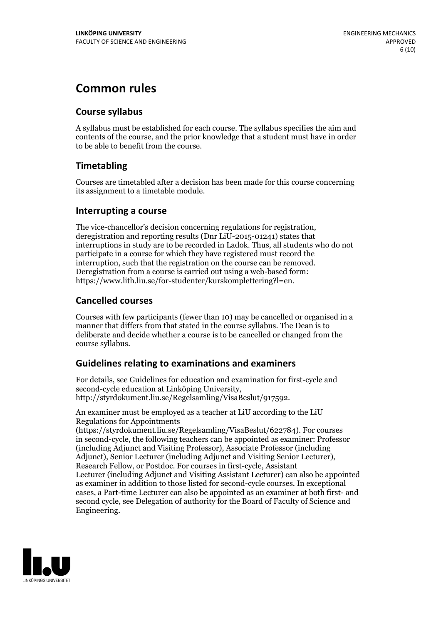## **Common rules**

#### **Course syllabus**

A syllabus must be established for each course. The syllabus specifies the aim and contents of the course, and the prior knowledge that a student must have in order to be able to benefit from the course.

#### **Timetabling**

Courses are timetabled after a decision has been made for this course concerning its assignment to a timetable module.

#### **Interrupting a course**

The vice-chancellor's decision concerning regulations for registration, deregistration and reporting results (Dnr LiU-2015-01241) states that interruptions in study are to be recorded in Ladok. Thus, all students who do not participate in a course for which they have registered must record the interruption, such that the registration on the course can be removed. Deregistration from <sup>a</sup> course is carried outusing <sup>a</sup> web-based form: https://www.lith.liu.se/for-studenter/kurskomplettering?l=en.

#### **Cancelled courses**

Courses with few participants (fewer than 10) may be cancelled or organised in a manner that differs from that stated in the course syllabus. The Dean is to deliberate and decide whether a course is to be cancelled or changed from the course syllabus.

#### **Guidelines relatingto examinations and examiners**

For details, see Guidelines for education and examination for first-cycle and second-cycle education at Linköping University, http://styrdokument.liu.se/Regelsamling/VisaBeslut/917592.

An examiner must be employed as a teacher at LiU according to the LiU Regulations for Appointments

(https://styrdokument.liu.se/Regelsamling/VisaBeslut/622784). For courses in second-cycle, the following teachers can be appointed as examiner: Professor (including Adjunct and Visiting Professor), Associate Professor (including Adjunct), Senior Lecturer (including Adjunct and Visiting Senior Lecturer), Research Fellow, or Postdoc. For courses in first-cycle, Assistant Lecturer (including Adjunct and Visiting Assistant Lecturer) can also be appointed as examiner in addition to those listed for second-cycle courses. In exceptional cases, a Part-time Lecturer can also be appointed as an examiner at both first- and second cycle, see Delegation of authority for the Board of Faculty of Science and Engineering.

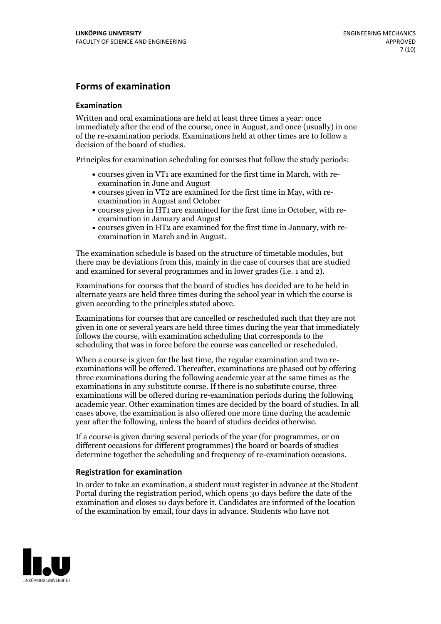#### **Forms of examination**

#### **Examination**

Written and oral examinations are held at least three times a year: once immediately after the end of the course, once in August, and once (usually) in one of the re-examination periods. Examinations held at other times are to follow a decision of the board of studies.

Principles for examination scheduling for courses that follow the study periods:

- courses given in VT1 are examined for the first time in March, with re-examination in June and August
- courses given in VT2 are examined for the first time in May, with re-examination in August and October
- courses given in HT1 are examined for the first time in October, with re-examination in January and August
- courses given in HT2 are examined for the first time in January, with re-examination in March and in August.

The examination schedule is based on the structure of timetable modules, but there may be deviations from this, mainly in the case of courses that are studied and examined for several programmes and in lower grades (i.e. 1 and 2).

Examinations for courses that the board of studies has decided are to be held in alternate years are held three times during the school year in which the course is given according to the principles stated above.

Examinations for courses that are cancelled orrescheduled such that they are not given in one or several years are held three times during the year that immediately follows the course, with examination scheduling that corresponds to the scheduling that was in force before the course was cancelled or rescheduled.

When a course is given for the last time, the regular examination and two re-<br>examinations will be offered. Thereafter, examinations are phased out by offering three examinations during the following academic year at the same times as the examinations in any substitute course. If there is no substitute course, three examinations will be offered during re-examination periods during the following academic year. Other examination times are decided by the board of studies. In all cases above, the examination is also offered one more time during the academic year after the following, unless the board of studies decides otherwise.

If a course is given during several periods of the year (for programmes, or on different occasions for different programmes) the board or boards of studies determine together the scheduling and frequency of re-examination occasions.

#### **Registration for examination**

In order to take an examination, a student must register in advance at the Student Portal during the registration period, which opens 30 days before the date of the examination and closes 10 days before it. Candidates are informed of the location of the examination by email, four days in advance. Students who have not

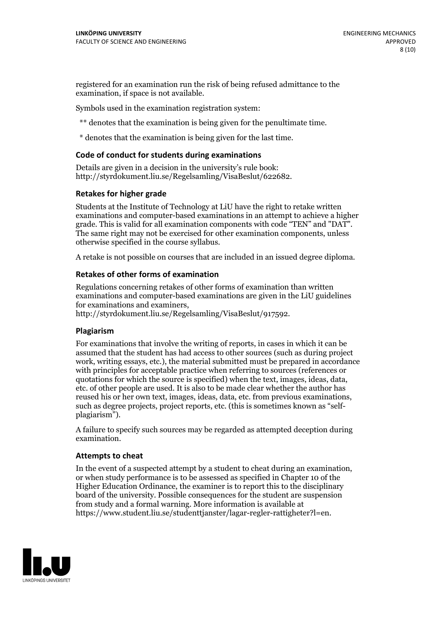registered for an examination run the risk of being refused admittance to the examination, if space is not available.

Symbols used in the examination registration system:

\*\* denotes that the examination is being given for the penultimate time.

\* denotes that the examination is being given for the last time.

#### **Code of conduct for students during examinations**

Details are given in a decision in the university's rule book: http://styrdokument.liu.se/Regelsamling/VisaBeslut/622682.

#### **Retakes for higher grade**

Students at the Institute of Technology at LiU have the right to retake written examinations and computer-based examinations in an attempt to achieve a higher grade. This is valid for all examination components with code "TEN" and "DAT". The same right may not be exercised for other examination components, unless otherwise specified in the course syllabus.

A retake is not possible on courses that are included in an issued degree diploma.

#### **Retakes of other forms of examination**

Regulations concerning retakes of other forms of examination than written examinations and computer-based examinations are given in the LiU guidelines

http://styrdokument.liu.se/Regelsamling/VisaBeslut/917592.

#### **Plagiarism**

For examinations that involve the writing of reports, in cases in which it can be assumed that the student has had access to other sources (such as during project work, writing essays, etc.), the material submitted must be prepared in accordance with principles for acceptable practice when referring to sources (references or quotations for which the source is specified) when the text, images, ideas, data,  $\vec{e}$  etc. of other people are used. It is also to be made clear whether the author has reused his or her own text, images, ideas, data, etc. from previous examinations, such as degree projects, project reports, etc. (this is sometimes known as "self- plagiarism").

A failure to specify such sources may be regarded as attempted deception during examination.

#### **Attempts to cheat**

In the event of <sup>a</sup> suspected attempt by <sup>a</sup> student to cheat during an examination, or when study performance is to be assessed as specified in Chapter <sup>10</sup> of the Higher Education Ordinance, the examiner is to report this to the disciplinary board of the university. Possible consequences for the student are suspension from study and a formal warning. More information is available at https://www.student.liu.se/studenttjanster/lagar-regler-rattigheter?l=en.

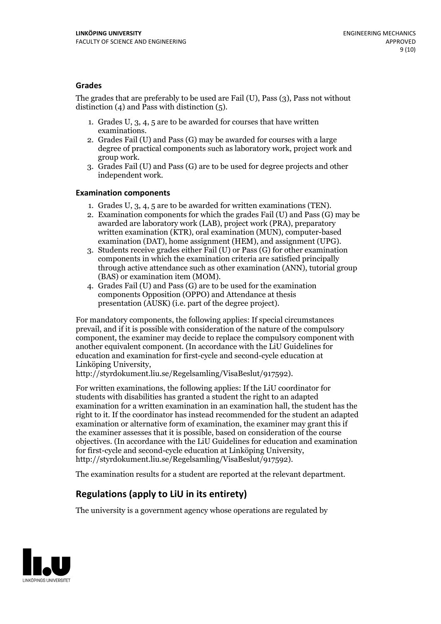#### **Grades**

The grades that are preferably to be used are Fail (U), Pass (3), Pass not without distinction  $(4)$  and Pass with distinction  $(5)$ .

- 1. Grades U, 3, 4, 5 are to be awarded for courses that have written
- examinations. 2. Grades Fail (U) and Pass (G) may be awarded for courses with <sup>a</sup> large degree of practical components such as laboratory work, project work and group work. 3. Grades Fail (U) and Pass (G) are to be used for degree projects and other
- independent work.

#### **Examination components**

- 
- 1. Grades U, 3, 4, <sup>5</sup> are to be awarded for written examinations (TEN). 2. Examination components for which the grades Fail (U) and Pass (G) may be awarded are laboratory work (LAB), project work (PRA), preparatory written examination (KTR), oral examination (MUN), computer-based
- examination (DAT), home assignment (HEM), and assignment (UPG). 3. Students receive grades either Fail (U) or Pass (G) for other examination components in which the examination criteria are satisfied principally through active attendance such as other examination (ANN), tutorial group (BAS) or examination item (MOM). 4. Grades Fail (U) and Pass (G) are to be used for the examination
- components Opposition (OPPO) and Attendance at thesis presentation (AUSK) (i.e. part of the degree project).

For mandatory components, the following applies: If special circumstances prevail, and if it is possible with consideration of the nature of the compulsory component, the examiner may decide to replace the compulsory component with another equivalent component. (In accordance with the LiU Guidelines for education and examination for first-cycle and second-cycle education at Linköping University, http://styrdokument.liu.se/Regelsamling/VisaBeslut/917592).

For written examinations, the following applies: If the LiU coordinator for students with disabilities has granted a student the right to an adapted examination for a written examination in an examination hall, the student has the right to it. If the coordinator has instead recommended for the student an adapted examination or alternative form of examination, the examiner may grant this if the examiner assesses that it is possible, based on consideration of the course objectives. (In accordance with the LiU Guidelines for education and examination for first-cycle and second-cycle education at Linköping University, http://styrdokument.liu.se/Regelsamling/VisaBeslut/917592).

The examination results for a student are reported at the relevant department.

### **Regulations (applyto LiU in its entirety)**

The university is a government agency whose operations are regulated by